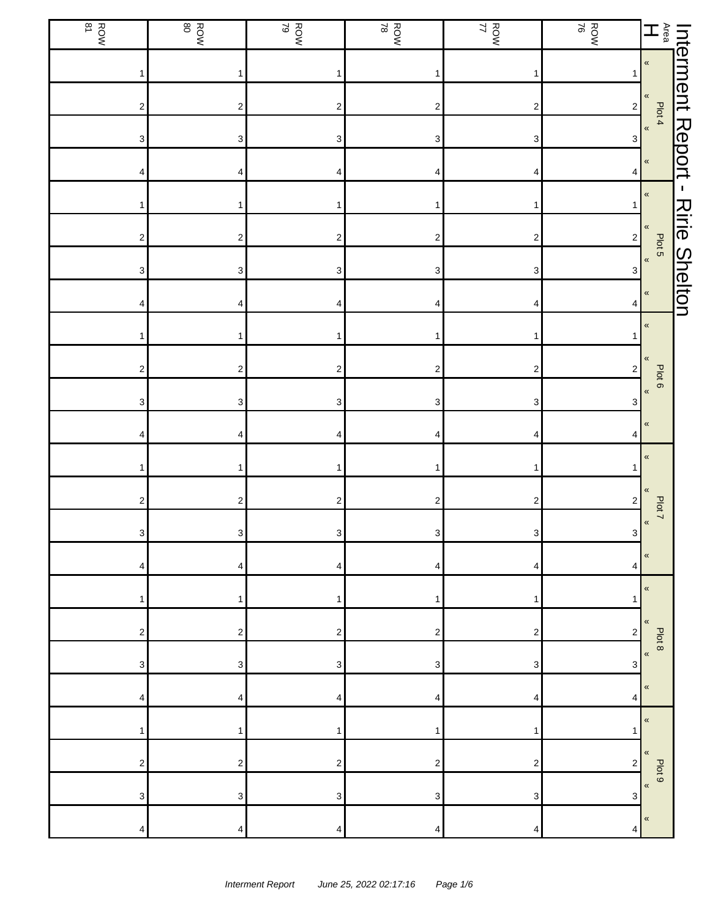| <b>ROW</b>                | ROW                     | ROW<br>ROW                | ROW<br>ROW                | ROW<br>17                 | ROW<br>ROW                |                                         |                      |
|---------------------------|-------------------------|---------------------------|---------------------------|---------------------------|---------------------------|-----------------------------------------|----------------------|
|                           | 1                       | $\mathbf{1}$              |                           | $\mathbf{1}$              | 1                         |                                         |                      |
| 2                         | $\overline{\mathbf{c}}$ | $\boldsymbol{2}$          | $\overline{\mathbf{c}}$   | $\boldsymbol{2}$          | $\mathbf 2$               |                                         |                      |
| 3                         | 3                       | 3                         | 3                         | $\ensuremath{\mathsf{3}}$ | 3                         |                                         |                      |
| 4                         | 4                       | 4                         | 4                         | 4                         | 4                         |                                         |                      |
|                           | 1                       | 1                         |                           | 1                         | $\overline{1}$            | $\pmb{\kappa}$                          | $\mathbf{I}$         |
| $\overline{\mathbf{c}}$   | $\overline{\mathbf{c}}$ | $\boldsymbol{2}$          | $\overline{\mathbf{c}}$   | $\overline{\mathbf{c}}$   | $\overline{\mathbf{c}}$   | $\pmb{\langle}$<br>Plot 5               | <b>Ririe Shelton</b> |
| $\ensuremath{\mathsf{3}}$ | 3                       | $\ensuremath{\mathsf{3}}$ | $\ensuremath{\mathsf{3}}$ | $\ensuremath{\mathsf{3}}$ | $\ensuremath{\mathsf{3}}$ | $\pmb{\kappa}$                          |                      |
| 4                         | 4                       | 4                         | 4                         | 4                         | 4                         | $\pmb{\kappa}$                          |                      |
|                           | 1                       | 1                         |                           | 1                         |                           | $\pmb{\ll}$                             |                      |
| $\boldsymbol{2}$          | $\mathbf 2$             | $\boldsymbol{2}$          | $\boldsymbol{2}$          | $\boldsymbol{2}$          | $\sqrt{2}$                | «<br>Plot 6                             |                      |
| 3                         | 3                       | 3                         | 3                         | 3                         | 3                         | $\pmb{\langle}$                         |                      |
| 4                         | 4                       | 4                         | 4                         | 4                         | 4                         | $\pmb{\ll}$                             |                      |
|                           | 1                       | $\mathbf{1}$              | 1                         | $\mathbf{1}$              | 1                         | $\pmb{\ll}$                             |                      |
| 2                         | $\boldsymbol{2}$        | $\overline{\mathbf{c}}$   | $\overline{\mathbf{c}}$   | $\boldsymbol{2}$          | $\overline{\mathbf{c}}$   | «<br>Plot 7                             |                      |
| $\ensuremath{\mathsf{3}}$ | 3 <sup>1</sup>          | $3\vert$                  | $\ensuremath{\mathsf{3}}$ | $\mathbf{3}$              | $\mathbf{3}$              | $\pmb{\kappa}$                          |                      |
| 4                         | 4                       | 4                         | 4                         | 4                         | 4                         | «                                       |                      |
|                           | 1                       | 1                         | 1                         | 1                         | 1                         | $\pmb{\ll}$                             |                      |
| 2                         | 2                       | 2                         | 2                         | 2                         | 2                         | $\pmb{\langle} \pmb{\langle}$<br>Plot 8 |                      |
| 3                         | 3                       | 3                         | 3                         | 3                         | 3                         | $\pmb{\kappa}$                          |                      |
| 4                         | 4                       | 4                         | 4                         | 4                         | 4                         | $\,\,\ll$                               |                      |
|                           | 1                       | 1                         | 1                         | 1                         | 1                         | $\pmb{\kappa}$                          |                      |
| $\overline{2}$            | $\mathbf 2$             | $\overline{\mathbf{c}}$   | 2                         | $\boldsymbol{2}$          | $\overline{\mathbf{c}}$   | $\pmb{\ll}$<br>Plot 9                   |                      |
| 3                         | 3                       | 3                         | 3                         | 3                         | 3                         | $\pmb{\kappa}$                          |                      |
| 4                         | 4                       | 4                         | 4                         | 4                         | 4                         | $\,\,\ll$                               |                      |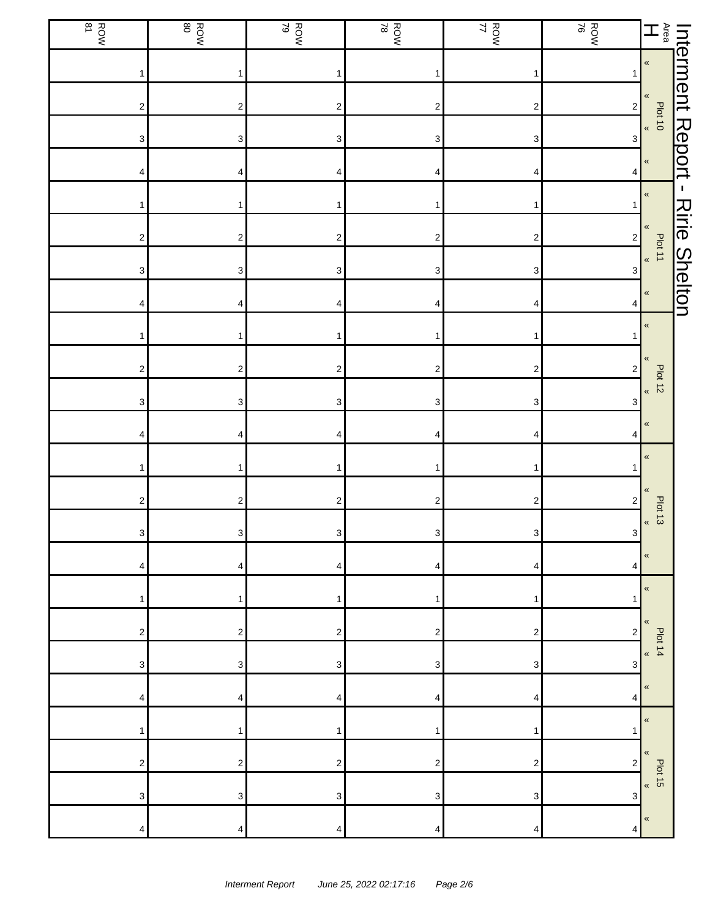| <b>ROW</b>                | ROW                       | ROW<br>ROW              | ROW<br>ROW                | ROW<br>17                 | ROW<br>ROW                |                                                                          |                      |
|---------------------------|---------------------------|-------------------------|---------------------------|---------------------------|---------------------------|--------------------------------------------------------------------------|----------------------|
|                           | 1                         | $\mathbf{1}$            |                           | $\mathbf{1}$              | 1                         | Interment Report -<br>Area Porto<br>H <b>Carline Comment Contemporal</b> |                      |
| 2                         | $\overline{\mathbf{c}}$   | $\mathbf 2$             | $\overline{\mathbf{c}}$   | $\boldsymbol{2}$          | $\sqrt{2}$                |                                                                          |                      |
| 3                         | 3                         | 3                       | 3                         | $\ensuremath{\mathsf{3}}$ | 3                         |                                                                          |                      |
| 4                         | 4                         | 4                       | 4                         | 4                         | 4                         |                                                                          |                      |
|                           | 1                         | 1                       |                           | 1                         | $\mathbf{1}$              | $\pmb{\kappa}$                                                           | $\mathbf{I}$         |
| $\overline{\mathbf{c}}$   | $\overline{\mathbf{c}}$   | $\boldsymbol{2}$        | $\overline{\mathbf{c}}$   | $\overline{\mathbf{c}}$   | $\overline{\mathbf{c}}$   | $\pmb{\langle}$<br>Plot 11                                               | <b>Ririe Shelton</b> |
| 3                         | $\ensuremath{\mathsf{3}}$ | 3                       | $\ensuremath{\mathsf{3}}$ | $\ensuremath{\mathsf{3}}$ | $\mathsf 3$               | $\pmb{\kappa}$                                                           |                      |
| 4                         | 4                         | 4                       | 4                         | 4                         | 4                         | $\pmb{\kappa}$                                                           |                      |
|                           | 1                         | 1                       |                           | 1                         |                           | $\pmb{\kappa}$                                                           |                      |
| $\boldsymbol{2}$          | $\mathbf 2$               | $\boldsymbol{2}$        | $\boldsymbol{2}$          | $\boldsymbol{2}$          | $\sqrt{2}$                | «<br><b>Plot 12</b>                                                      |                      |
| 3                         | 3                         | 3                       | 3                         | 3                         | $\ensuremath{\mathsf{3}}$ | $\pmb{\alpha}$                                                           |                      |
| 4                         | 4                         | 4                       | 4                         | 4                         | 4                         | $\pmb{\ll}$                                                              |                      |
|                           | 1                         | $\mathbf{1}$            | 1                         | $\mathbf{1}$              | 1                         | $\pmb{\ll}$                                                              |                      |
| 2                         | $\boldsymbol{2}$          | $\overline{\mathbf{c}}$ | $\overline{\mathbf{c}}$   | $\sqrt{2}$                | $\overline{\mathbf{c}}$   | «<br>Plot 13                                                             |                      |
| $\ensuremath{\mathsf{3}}$ | 3 <sup>1</sup>            | $3\vert$                | $\ensuremath{\mathsf{3}}$ | $\mathbf{3}$              | $\mathbf{3}$              | $\pmb{\alpha}$                                                           |                      |
| 4                         | 4                         | 4                       | 4                         | 4                         | 4                         | «                                                                        |                      |
|                           | 1                         | 1                       | 1                         | 1                         | 1                         | $\pmb{\ll}$                                                              |                      |
| 2                         | 2                         | 2                       | 2                         | 2                         | 2                         | «<br>Plot 14                                                             |                      |
| 3                         | 3                         | 3                       | 3                         | 3                         | 3                         | $\pmb{\alpha}$                                                           |                      |
| 4                         | 4                         | 4                       | 4                         | 4                         | 4                         | «                                                                        |                      |
|                           | 1                         | 1                       | 1                         | 1                         | 1                         | $\pmb{\ll}$                                                              |                      |
| 2                         | $\overline{\mathbf{c}}$   | $\overline{\mathbf{c}}$ | 2                         | 2                         | $\overline{\mathbf{c}}$   | $\pmb{\langle} \pmb{\langle}$<br>$\frac{1}{2}$<br>$\frac{1}{2}$          |                      |
| 3                         | 3                         | 3                       | 3                         | 3                         | 3                         |                                                                          |                      |
| 4                         | 4                         | 4                       | 4                         | 4                         | 4                         | $\,\,\ll$                                                                |                      |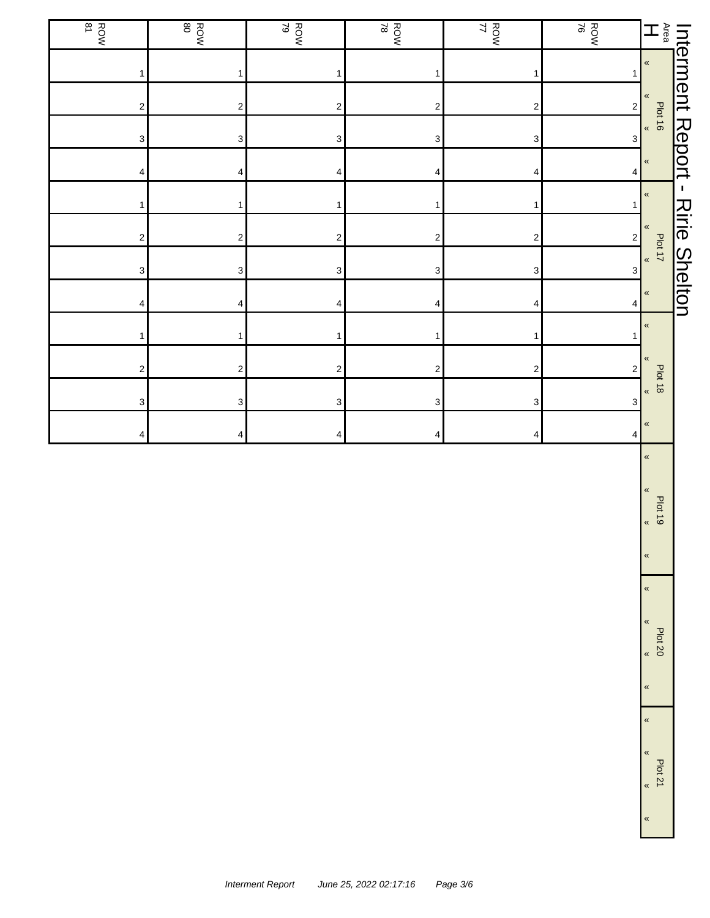| $\mathbb{E} \mathbb{E}$                           |                         | ROW<br>ROW | ROW<br>17                 | ROW<br>ROW              | ROW<br>ROW                | ROW<br>80                 | ROW<br>B <sub>31</sub>  |
|---------------------------------------------------|-------------------------|------------|---------------------------|-------------------------|---------------------------|---------------------------|-------------------------|
| $\pmb{\kappa}$                                    | 1                       |            | 1                         | 1                       | 1                         | $\mathbf{1}$              | 1                       |
| $\pmb{\kappa}$                                    | $\overline{\mathbf{c}}$ |            | $\sqrt{2}$                | $\overline{\mathbf{c}}$ | $\sqrt{2}$                | $\boldsymbol{2}$          | $\overline{\mathbf{c}}$ |
| Plot 16<br>$\pmb{\alpha}$                         | 3                       |            | 3                         | 3                       | 3                         | $\ensuremath{\mathsf{3}}$ | 3                       |
| Interment Report -<br>$\pmb{\kappa}$              | 4                       |            | 4                         | 4                       | 4                         | 4                         | 4                       |
| $\pmb{\kappa}$                                    | 1                       |            | 1                         | 1                       | 1                         | 1                         | 1                       |
| $\pmb{\ll}$                                       | $\sqrt{2}$              |            | $\boldsymbol{2}$          | $\overline{\mathbf{c}}$ | $\sqrt{2}$                | $\boldsymbol{2}$          | $\overline{\mathbf{c}}$ |
| <b>Ririe Shelton</b><br>Plot 17<br>$\pmb{\kappa}$ | $\mathbf 3$             |            | $\mathsf 3$               | 3                       | $\ensuremath{\mathsf{3}}$ | $\ensuremath{\mathsf{3}}$ | 3                       |
| $\pmb{\kappa}$                                    | 4                       |            | 4                         | 4                       | 4                         | 4                         | 4                       |
| $\pmb{\kappa}$                                    | 1                       |            | $\mathbf{1}$              | 1                       | $\mathbf{1}$              | $\mathbf{1}$              | 1                       |
| «                                                 | 2                       |            | $\sqrt{2}$                | $\overline{\mathbf{c}}$ | $\sqrt{2}$                | $\boldsymbol{2}$          | $\overline{\mathbf{c}}$ |
| <b>Plot 18</b><br>$\pmb{\kappa}$                  | 3                       |            | $\ensuremath{\mathsf{3}}$ | 3                       | $\ensuremath{\mathsf{3}}$ | $\ensuremath{\mathsf{3}}$ | 3                       |
| $\pmb{\mathcal{R}}$                               | 4                       |            | 4                         | $\overline{\mathbf{4}}$ | 4                         | 4                         | 4                       |
| $\pmb{\kappa}$                                    |                         |            |                           |                         |                           |                           |                         |
| $\pmb{\mathcal{R}}$                               |                         |            |                           |                         |                           |                           |                         |
| Plot 19<br>$\pmb{\alpha}$                         |                         |            |                           |                         |                           |                           |                         |
| $\pmb{\kappa}$                                    |                         |            |                           |                         |                           |                           |                         |
| $\pmb{\kappa}$                                    |                         |            |                           |                         |                           |                           |                         |

Plot 20 «

«

«

«

«

«

Plot 21 «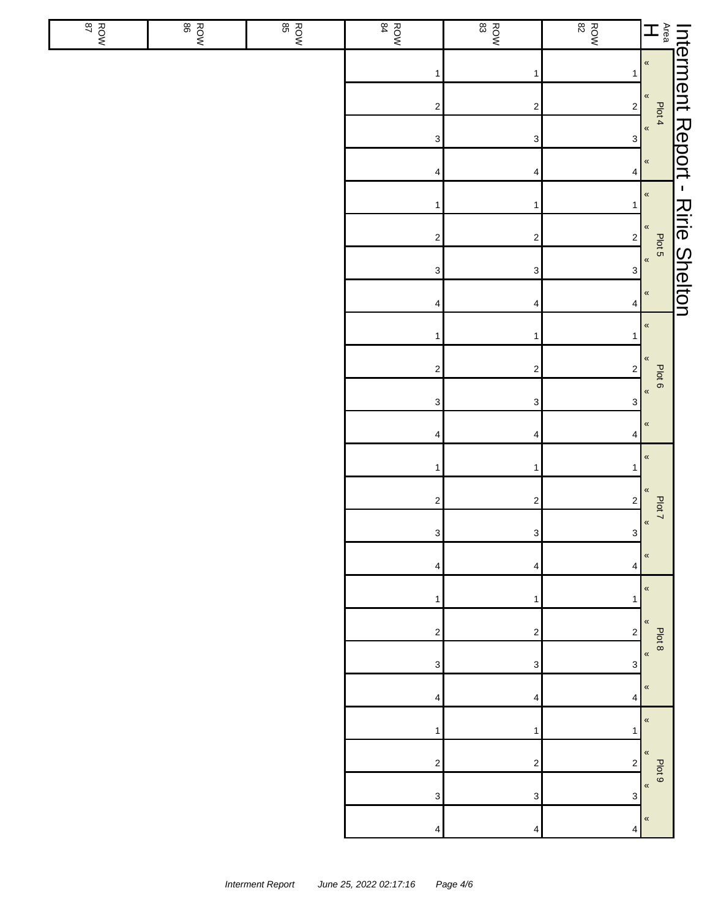| ਮ੦ਅ | ROW | ROW<br>BOW | ROW<br>84                 | $\begin{array}{c}\n\hline\n\text{Row} \\ \text{83}\n\end{array}$ | $\begin{array}{c}\n\hline\n\text{Row} \\ \text{82}\n\end{array}$ |                                |  |
|-----|-----|------------|---------------------------|------------------------------------------------------------------|------------------------------------------------------------------|--------------------------------|--|
|     |     |            | 1                         | 1                                                                | 1                                                                |                                |  |
|     |     |            | $\boldsymbol{2}$          | $\overline{\mathbf{c}}$                                          | $\overline{\mathbf{c}}$                                          |                                |  |
|     |     |            | $\ensuremath{\mathsf{3}}$ | 3                                                                | $\ensuremath{\mathsf{3}}$                                        |                                |  |
|     |     |            | 4                         | 4                                                                | 4                                                                |                                |  |
|     |     |            | $\mathbf{1}$              | 1                                                                | $\mathbf{1}$                                                     |                                |  |
|     |     |            | $\mathbf 2$               | $\boldsymbol{2}$                                                 | $\sqrt{2}$                                                       |                                |  |
|     |     |            | $\ensuremath{\mathsf{3}}$ | 3                                                                | $\ensuremath{\mathsf{3}}$                                        |                                |  |
|     |     |            | 4                         | 4                                                                | 4                                                                |                                |  |
|     |     |            | $\mathbf{1}$              | 1                                                                | 1                                                                | $\pmb{\kappa}$                 |  |
|     |     |            | $\mathbf 2$               | $\boldsymbol{2}$                                                 | $\sqrt{2}$                                                       | $\pmb{\mathfrak{C}}$<br>Plot 6 |  |
|     |     |            | $\mathsf 3$               | $\ensuremath{\mathsf{3}}$                                        | $\ensuremath{\mathsf{3}}$                                        | $\pmb{\kappa}$                 |  |
|     |     |            | 4                         | 4                                                                | 4                                                                | $\pmb{\kappa}$                 |  |
|     |     |            | $\mathbf{1}$              | 1                                                                | 1                                                                | $\pmb{\langle} \pmb{\langle}$  |  |
|     |     |            | $\sqrt{2}$                | $\overline{\mathbf{c}}$                                          | $\sqrt{2}$                                                       | «<br>Plot 7                    |  |
|     |     |            | $\mathbf{3}$              | $\mathbf{3}$                                                     | $\mathbf{3}$                                                     | $\pmb{\kappa}$                 |  |
|     |     |            | 4                         | 4                                                                | 4                                                                | «                              |  |
|     |     |            | 1                         | 1                                                                | 1                                                                | $\pmb{\kappa}$                 |  |
|     |     |            | $\overline{\mathbf{c}}$   | $\boldsymbol{2}$                                                 | $\overline{\mathbf{c}}$                                          | $\pmb{\kappa}$<br>Plot 8       |  |
|     |     |            | 3                         | 3                                                                | 3                                                                | $\pmb{\mathfrak{C}}$           |  |
|     |     |            | 4                         | 4                                                                | 4                                                                | «                              |  |
|     |     |            | 1                         | 1                                                                | 1                                                                | «                              |  |
|     |     |            | $\overline{\mathbf{c}}$   | $\boldsymbol{2}$                                                 | $\overline{\mathbf{c}}$                                          | $\pmb{\kappa}$<br>Plot 9       |  |
|     |     |            | 3                         | 3                                                                | 3                                                                | $\pmb{\mathfrak{C}}$           |  |
|     |     |            | 4                         | 4                                                                | 4                                                                | $\pmb{\langle} \pmb{\langle}$  |  |

 $\frac{28}{3}$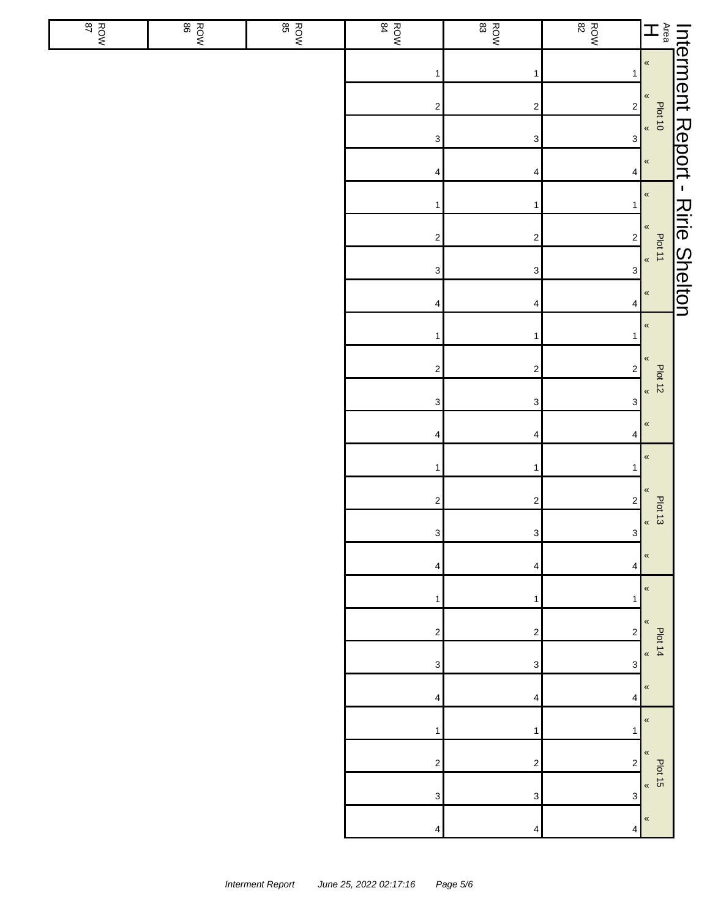| <b>ROW</b> | <b>ROW</b> | $\begin{array}{c}\n\hline\n\text{Row} \\ \text{BS}\n\end{array}$ | ROW<br>84                 | $\frac{ROM}{83}$        | <b>ROW</b>                |                                                                                                                                                                                                                                  |  |
|------------|------------|------------------------------------------------------------------|---------------------------|-------------------------|---------------------------|----------------------------------------------------------------------------------------------------------------------------------------------------------------------------------------------------------------------------------|--|
|            |            |                                                                  | $\mathbf{1}$              | 1                       | 1                         |                                                                                                                                                                                                                                  |  |
|            |            |                                                                  | $\overline{\mathbf{c}}$   | $\overline{\mathbf{c}}$ | $\overline{\mathbf{c}}$   |                                                                                                                                                                                                                                  |  |
|            |            |                                                                  | $\ensuremath{\mathsf{3}}$ | 3                       | $\ensuremath{\mathsf{3}}$ | Interment Report - Ririe Shelton<br>Hearthless Plants - Plants - Plants - Plants - Plants - Plants - Plants - Plants - Plants - Plants - Plants - Plants - Plants - Plants - Plants - Plants - Plants - Plants - Plants - Plants |  |
|            |            |                                                                  | 4                         | 4                       | 4                         |                                                                                                                                                                                                                                  |  |
|            |            |                                                                  | $\mathbf{1}$              | $\mathbf{1}$            | 1                         |                                                                                                                                                                                                                                  |  |
|            |            |                                                                  | $\sqrt{2}$                | $\overline{\mathbf{c}}$ | $\sqrt{2}$                |                                                                                                                                                                                                                                  |  |
|            |            |                                                                  | $\ensuremath{\mathsf{3}}$ | 3                       | $\ensuremath{\mathsf{3}}$ |                                                                                                                                                                                                                                  |  |
|            |            |                                                                  | 4                         | 4                       | 4                         |                                                                                                                                                                                                                                  |  |
|            |            |                                                                  | 1                         | 1                       | 1                         | $\pmb{\kappa}$                                                                                                                                                                                                                   |  |
|            |            |                                                                  | $\mathbf 2$               | $\overline{\mathbf{c}}$ | $\mathbf 2$               | $\pmb{\ll}$                                                                                                                                                                                                                      |  |
|            |            |                                                                  | $\ensuremath{\mathsf{3}}$ | 3                       | 3                         | Plot 12<br>$\pmb{\kappa}$                                                                                                                                                                                                        |  |
|            |            |                                                                  | $\overline{4}$            | 4                       | 4                         | $\pmb{\kappa}$                                                                                                                                                                                                                   |  |
|            |            |                                                                  | $\mathbf{1}$              | 1                       |                           | $\pmb{\mathfrak{C}}$                                                                                                                                                                                                             |  |
|            |            |                                                                  | $\boldsymbol{2}$          | $\overline{\mathbf{c}}$ | $\overline{\mathbf{c}}$   | «                                                                                                                                                                                                                                |  |
|            |            |                                                                  | $\mathbf{3}$              | $\mathbf{3}$            | $\mathbf{3}$              | Plot 13<br>$\pmb{\kappa}$                                                                                                                                                                                                        |  |
|            |            |                                                                  | 4                         | 4                       | 4                         | $\pmb{\ll}$                                                                                                                                                                                                                      |  |
|            |            |                                                                  | 1                         | 1                       | 1                         | $\pmb{\kappa}$                                                                                                                                                                                                                   |  |
|            |            |                                                                  | $\boldsymbol{2}$          | 2                       | $\overline{\mathbf{c}}$   | «<br>Plot 14                                                                                                                                                                                                                     |  |
|            |            |                                                                  | 3                         | 3                       | 3                         | $\pmb{\ll}$                                                                                                                                                                                                                      |  |
|            |            |                                                                  | 4                         | 4                       | 4                         | $\pmb{\ll}$                                                                                                                                                                                                                      |  |
|            |            |                                                                  | 1                         | 1                       | 1                         | $\pmb{\ll}$                                                                                                                                                                                                                      |  |
|            |            |                                                                  | $\boldsymbol{2}$          | 2                       | 2                         | $\pmb{\ll}$<br>$\frac{1}{2}$<br>$\frac{1}{2}$                                                                                                                                                                                    |  |
|            |            |                                                                  | 3                         | 3                       | 3                         |                                                                                                                                                                                                                                  |  |
|            |            |                                                                  | 4                         | 4                       | 4                         | $\pmb{\ll}$                                                                                                                                                                                                                      |  |